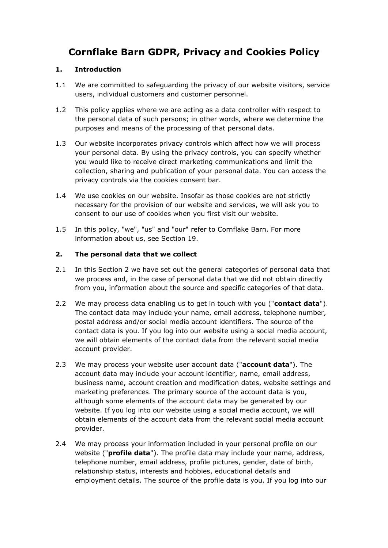# **Cornflake Barn GDPR, Privacy and Cookies Policy**

### **1. Introduction**

- 1.1 We are committed to safeguarding the privacy of our website visitors, service users, individual customers and customer personnel.
- 1.2 This policy applies where we are acting as a data controller with respect to the personal data of such persons; in other words, where we determine the purposes and means of the processing of that personal data.
- 1.3 Our website incorporates privacy controls which affect how we will process your personal data. By using the privacy controls, you can specify whether you would like to receive direct marketing communications and limit the collection, sharing and publication of your personal data. You can access the privacy controls via the cookies consent bar.
- 1.4 We use cookies on our website. Insofar as those cookies are not strictly necessary for the provision of our website and services, we will ask you to consent to our use of cookies when you first visit our website.
- 1.5 In this policy, "we", "us" and "our" refer to Cornflake Barn. For more information about us, see Section 19.

## **2. The personal data that we collect**

- 2.1 In this Section 2 we have set out the general categories of personal data that we process and, in the case of personal data that we did not obtain directly from you, information about the source and specific categories of that data.
- 2.2 We may process data enabling us to get in touch with you ("**contact data**"). The contact data may include your name, email address, telephone number, postal address and/or social media account identifiers. The source of the contact data is you. If you log into our website using a social media account, we will obtain elements of the contact data from the relevant social media account provider.
- 2.3 We may process your website user account data ("**account data**"). The account data may include your account identifier, name, email address, business name, account creation and modification dates, website settings and marketing preferences. The primary source of the account data is you, although some elements of the account data may be generated by our website. If you log into our website using a social media account, we will obtain elements of the account data from the relevant social media account provider.
- 2.4 We may process your information included in your personal profile on our website ("**profile data**"). The profile data may include your name, address, telephone number, email address, profile pictures, gender, date of birth, relationship status, interests and hobbies, educational details and employment details. The source of the profile data is you. If you log into our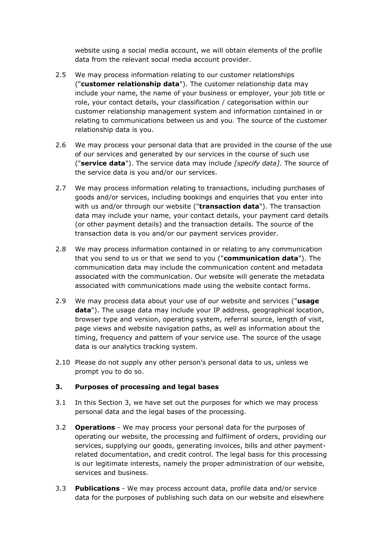website using a social media account, we will obtain elements of the profile data from the relevant social media account provider.

- 2.5 We may process information relating to our customer relationships ("**customer relationship data**"). The customer relationship data may include your name, the name of your business or employer, your job title or role, your contact details, your classification / categorisation within our customer relationship management system and information contained in or relating to communications between us and you. The source of the customer relationship data is you.
- 2.6 We may process your personal data that are provided in the course of the use of our services and generated by our services in the course of such use ("**service data**"). The service data may include *[specify data]*. The source of the service data is you and/or our services.
- 2.7 We may process information relating to transactions, including purchases of goods and/or services, including bookings and enquiries that you enter into with us and/or through our website ("**transaction data**"). The transaction data may include your name, your contact details, your payment card details (or other payment details) and the transaction details. The source of the transaction data is you and/or our payment services provider.
- 2.8 We may process information contained in or relating to any communication that you send to us or that we send to you ("**communication data**"). The communication data may include the communication content and metadata associated with the communication. Our website will generate the metadata associated with communications made using the website contact forms.
- 2.9 We may process data about your use of our website and services ("**usage data**"). The usage data may include your IP address, geographical location, browser type and version, operating system, referral source, length of visit, page views and website navigation paths, as well as information about the timing, frequency and pattern of your service use. The source of the usage data is our analytics tracking system.
- 2.10 Please do not supply any other person's personal data to us, unless we prompt you to do so.

#### **3. Purposes of processing and legal bases**

- 3.1 In this Section 3, we have set out the purposes for which we may process personal data and the legal bases of the processing.
- 3.2 **Operations**  We may process your personal data for the purposes of operating our website, the processing and fulfilment of orders, providing our services, supplying our goods, generating invoices, bills and other paymentrelated documentation, and credit control. The legal basis for this processing is our legitimate interests, namely the proper administration of our website, services and business.
- 3.3 **Publications**  We may process account data, profile data and/or service data for the purposes of publishing such data on our website and elsewhere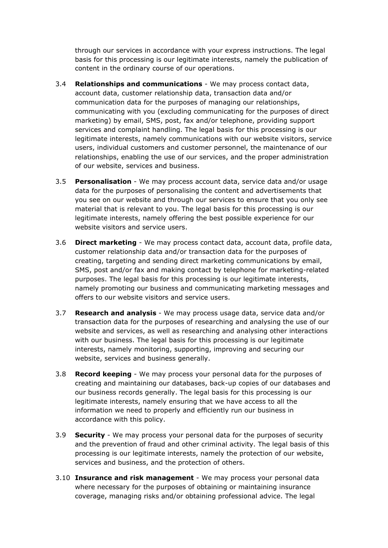through our services in accordance with your express instructions. The legal basis for this processing is our legitimate interests, namely the publication of content in the ordinary course of our operations.

- 3.4 **Relationships and communications** We may process contact data, account data, customer relationship data, transaction data and/or communication data for the purposes of managing our relationships, communicating with you (excluding communicating for the purposes of direct marketing) by email, SMS, post, fax and/or telephone, providing support services and complaint handling. The legal basis for this processing is our legitimate interests, namely communications with our website visitors, service users, individual customers and customer personnel, the maintenance of our relationships, enabling the use of our services, and the proper administration of our website, services and business.
- 3.5 **Personalisation**  We may process account data, service data and/or usage data for the purposes of personalising the content and advertisements that you see on our website and through our services to ensure that you only see material that is relevant to you. The legal basis for this processing is our legitimate interests, namely offering the best possible experience for our website visitors and service users.
- 3.6 **Direct marketing**  We may process contact data, account data, profile data, customer relationship data and/or transaction data for the purposes of creating, targeting and sending direct marketing communications by email, SMS, post and/or fax and making contact by telephone for marketing-related purposes. The legal basis for this processing is our legitimate interests, namely promoting our business and communicating marketing messages and offers to our website visitors and service users.
- 3.7 **Research and analysis**  We may process usage data, service data and/or transaction data for the purposes of researching and analysing the use of our website and services, as well as researching and analysing other interactions with our business. The legal basis for this processing is our legitimate interests, namely monitoring, supporting, improving and securing our website, services and business generally.
- 3.8 **Record keeping**  We may process your personal data for the purposes of creating and maintaining our databases, back-up copies of our databases and our business records generally. The legal basis for this processing is our legitimate interests, namely ensuring that we have access to all the information we need to properly and efficiently run our business in accordance with this policy.
- 3.9 **Security**  We may process your personal data for the purposes of security and the prevention of fraud and other criminal activity. The legal basis of this processing is our legitimate interests, namely the protection of our website, services and business, and the protection of others.
- 3.10 **Insurance and risk management** We may process your personal data where necessary for the purposes of obtaining or maintaining insurance coverage, managing risks and/or obtaining professional advice. The legal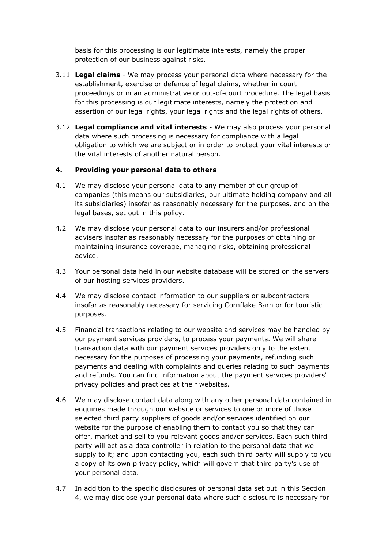basis for this processing is our legitimate interests, namely the proper protection of our business against risks.

- 3.11 **Legal claims** We may process your personal data where necessary for the establishment, exercise or defence of legal claims, whether in court proceedings or in an administrative or out-of-court procedure. The legal basis for this processing is our legitimate interests, namely the protection and assertion of our legal rights, your legal rights and the legal rights of others.
- 3.12 **Legal compliance and vital interests** We may also process your personal data where such processing is necessary for compliance with a legal obligation to which we are subject or in order to protect your vital interests or the vital interests of another natural person.

#### **4. Providing your personal data to others**

- 4.1 We may disclose your personal data to any member of our group of companies (this means our subsidiaries, our ultimate holding company and all its subsidiaries) insofar as reasonably necessary for the purposes, and on the legal bases, set out in this policy.
- 4.2 We may disclose your personal data to our insurers and/or professional advisers insofar as reasonably necessary for the purposes of obtaining or maintaining insurance coverage, managing risks, obtaining professional advice.
- 4.3 Your personal data held in our website database will be stored on the servers of our hosting services providers.
- 4.4 We may disclose contact information to our suppliers or subcontractors insofar as reasonably necessary for servicing Cornflake Barn or for touristic purposes.
- 4.5 Financial transactions relating to our website and services may be handled by our payment services providers, to process your payments. We will share transaction data with our payment services providers only to the extent necessary for the purposes of processing your payments, refunding such payments and dealing with complaints and queries relating to such payments and refunds. You can find information about the payment services providers' privacy policies and practices at their websites.
- 4.6 We may disclose contact data along with any other personal data contained in enquiries made through our website or services to one or more of those selected third party suppliers of goods and/or services identified on our website for the purpose of enabling them to contact you so that they can offer, market and sell to you relevant goods and/or services. Each such third party will act as a data controller in relation to the personal data that we supply to it; and upon contacting you, each such third party will supply to you a copy of its own privacy policy, which will govern that third party's use of your personal data.
- 4.7 In addition to the specific disclosures of personal data set out in this Section 4, we may disclose your personal data where such disclosure is necessary for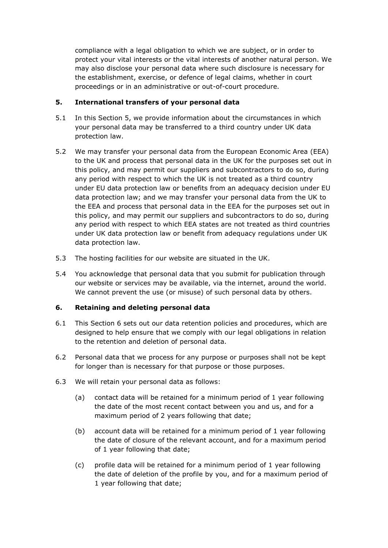compliance with a legal obligation to which we are subject, or in order to protect your vital interests or the vital interests of another natural person. We may also disclose your personal data where such disclosure is necessary for the establishment, exercise, or defence of legal claims, whether in court proceedings or in an administrative or out-of-court procedure.

#### **5. International transfers of your personal data**

- 5.1 In this Section 5, we provide information about the circumstances in which your personal data may be transferred to a third country under UK data protection law.
- 5.2 We may transfer your personal data from the European Economic Area (EEA) to the UK and process that personal data in the UK for the purposes set out in this policy, and may permit our suppliers and subcontractors to do so, during any period with respect to which the UK is not treated as a third country under EU data protection law or benefits from an adequacy decision under EU data protection law; and we may transfer your personal data from the UK to the EEA and process that personal data in the EEA for the purposes set out in this policy, and may permit our suppliers and subcontractors to do so, during any period with respect to which EEA states are not treated as third countries under UK data protection law or benefit from adequacy regulations under UK data protection law.
- 5.3 The hosting facilities for our website are situated in the UK.
- 5.4 You acknowledge that personal data that you submit for publication through our website or services may be available, via the internet, around the world. We cannot prevent the use (or misuse) of such personal data by others.

## **6. Retaining and deleting personal data**

- 6.1 This Section 6 sets out our data retention policies and procedures, which are designed to help ensure that we comply with our legal obligations in relation to the retention and deletion of personal data.
- 6.2 Personal data that we process for any purpose or purposes shall not be kept for longer than is necessary for that purpose or those purposes.
- 6.3 We will retain your personal data as follows:
	- (a) contact data will be retained for a minimum period of 1 year following the date of the most recent contact between you and us, and for a maximum period of 2 years following that date;
	- (b) account data will be retained for a minimum period of 1 year following the date of closure of the relevant account, and for a maximum period of 1 year following that date;
	- (c) profile data will be retained for a minimum period of 1 year following the date of deletion of the profile by you, and for a maximum period of 1 year following that date;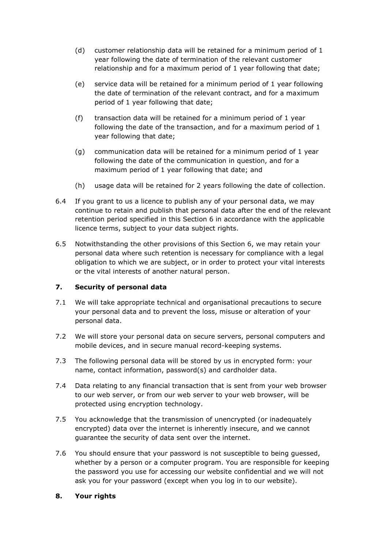- (d) customer relationship data will be retained for a minimum period of 1 year following the date of termination of the relevant customer relationship and for a maximum period of 1 year following that date;
- (e) service data will be retained for a minimum period of 1 year following the date of termination of the relevant contract, and for a maximum period of 1 year following that date;
- (f) transaction data will be retained for a minimum period of 1 year following the date of the transaction, and for a maximum period of 1 year following that date;
- (g) communication data will be retained for a minimum period of 1 year following the date of the communication in question, and for a maximum period of 1 year following that date; and
- (h) usage data will be retained for 2 years following the date of collection.
- 6.4 If you grant to us a licence to publish any of your personal data, we may continue to retain and publish that personal data after the end of the relevant retention period specified in this Section 6 in accordance with the applicable licence terms, subject to your data subject rights.
- 6.5 Notwithstanding the other provisions of this Section 6, we may retain your personal data where such retention is necessary for compliance with a legal obligation to which we are subject, or in order to protect your vital interests or the vital interests of another natural person.

#### **7. Security of personal data**

- 7.1 We will take appropriate technical and organisational precautions to secure your personal data and to prevent the loss, misuse or alteration of your personal data.
- 7.2 We will store your personal data on secure servers, personal computers and mobile devices, and in secure manual record-keeping systems.
- 7.3 The following personal data will be stored by us in encrypted form: your name, contact information, password(s) and cardholder data.
- 7.4 Data relating to any financial transaction that is sent from your web browser to our web server, or from our web server to your web browser, will be protected using encryption technology.
- 7.5 You acknowledge that the transmission of unencrypted (or inadequately encrypted) data over the internet is inherently insecure, and we cannot guarantee the security of data sent over the internet.
- 7.6 You should ensure that your password is not susceptible to being guessed, whether by a person or a computer program. You are responsible for keeping the password you use for accessing our website confidential and we will not ask you for your password (except when you log in to our website).

#### **8. Your rights**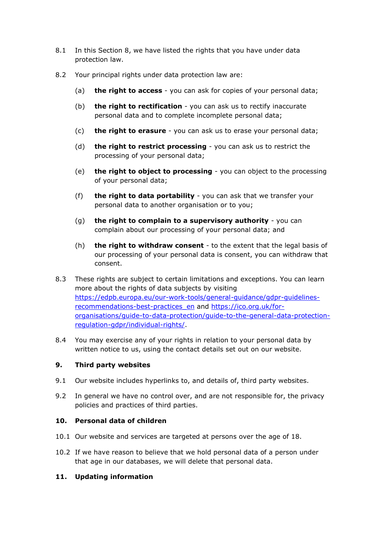- 8.1 In this Section 8, we have listed the rights that you have under data protection law.
- 8.2 Your principal rights under data protection law are:
	- (a) **the right to access** you can ask for copies of your personal data;
	- (b) **the right to rectification** you can ask us to rectify inaccurate personal data and to complete incomplete personal data;
	- (c) **the right to erasure** you can ask us to erase your personal data;
	- (d) **the right to restrict processing** you can ask us to restrict the processing of your personal data;
	- (e) **the right to object to processing** you can object to the processing of your personal data;
	- (f) **the right to data portability** you can ask that we transfer your personal data to another organisation or to you;
	- (g) **the right to complain to a supervisory authority** you can complain about our processing of your personal data; and
	- (h) **the right to withdraw consent** to the extent that the legal basis of our processing of your personal data is consent, you can withdraw that consent.
- 8.3 These rights are subject to certain limitations and exceptions. You can learn more about the rights of data subjects by visiting [https://edpb.europa.eu/our-work-tools/general-guidance/gdpr-guidelines](https://edpb.europa.eu/our-work-tools/general-guidance/gdpr-guidelines-recommendations-best-practices_en)[recommendations-best-practices\\_en](https://edpb.europa.eu/our-work-tools/general-guidance/gdpr-guidelines-recommendations-best-practices_en) and [https://ico.org.uk/for](https://ico.org.uk/for-organisations/guide-to-data-protection/guide-to-the-general-data-protection-regulation-gdpr/individual-rights/)[organisations/guide-to-data-protection/guide-to-the-general-data-protection](https://ico.org.uk/for-organisations/guide-to-data-protection/guide-to-the-general-data-protection-regulation-gdpr/individual-rights/)[regulation-gdpr/individual-rights/.](https://ico.org.uk/for-organisations/guide-to-data-protection/guide-to-the-general-data-protection-regulation-gdpr/individual-rights/)
- 8.4 You may exercise any of your rights in relation to your personal data by written notice to us, using the contact details set out on our website.

#### **9. Third party websites**

- 9.1 Our website includes hyperlinks to, and details of, third party websites.
- 9.2 In general we have no control over, and are not responsible for, the privacy policies and practices of third parties.

#### **10. Personal data of children**

- 10.1 Our website and services are targeted at persons over the age of 18.
- 10.2 If we have reason to believe that we hold personal data of a person under that age in our databases, we will delete that personal data.

#### **11. Updating information**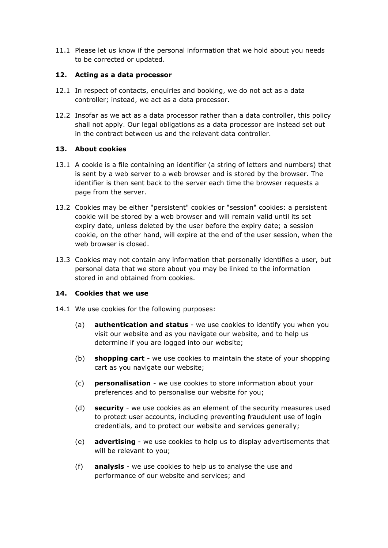11.1 Please let us know if the personal information that we hold about you needs to be corrected or updated.

#### **12. Acting as a data processor**

- 12.1 In respect of contacts, enquiries and booking, we do not act as a data controller; instead, we act as a data processor.
- 12.2 Insofar as we act as a data processor rather than a data controller, this policy shall not apply. Our legal obligations as a data processor are instead set out in the contract between us and the relevant data controller.

## **13. About cookies**

- 13.1 A cookie is a file containing an identifier (a string of letters and numbers) that is sent by a web server to a web browser and is stored by the browser. The identifier is then sent back to the server each time the browser requests a page from the server.
- 13.2 Cookies may be either "persistent" cookies or "session" cookies: a persistent cookie will be stored by a web browser and will remain valid until its set expiry date, unless deleted by the user before the expiry date; a session cookie, on the other hand, will expire at the end of the user session, when the web browser is closed.
- 13.3 Cookies may not contain any information that personally identifies a user, but personal data that we store about you may be linked to the information stored in and obtained from cookies.

### **14. Cookies that we use**

- 14.1 We use cookies for the following purposes:
	- (a) **authentication and status** we use cookies to identify you when you visit our website and as you navigate our website, and to help us determine if you are logged into our website;
	- (b) **shopping cart** we use cookies to maintain the state of your shopping cart as you navigate our website;
	- (c) **personalisation** we use cookies to store information about your preferences and to personalise our website for you;
	- (d) **security** we use cookies as an element of the security measures used to protect user accounts, including preventing fraudulent use of login credentials, and to protect our website and services generally;
	- (e) **advertising** we use cookies to help us to display advertisements that will be relevant to you;
	- (f) **analysis** we use cookies to help us to analyse the use and performance of our website and services; and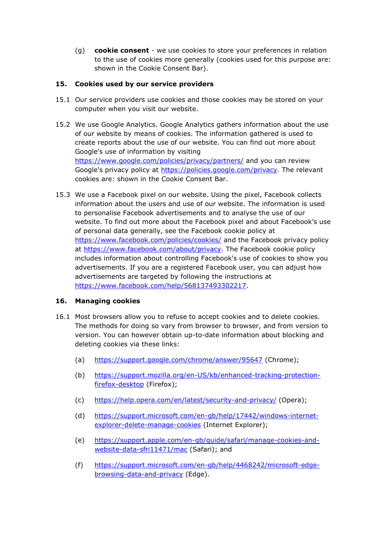(g) **cookie consent** - we use cookies to store your preferences in relation to the use of cookies more generally (cookies used for this purpose are: shown in the Cookie Consent Bar).

## **15. Cookies used by our service providers**

- 15.1 Our service providers use cookies and those cookies may be stored on your computer when you visit our website.
- 15.2 We use Google Analytics. Google Analytics gathers information about the use of our website by means of cookies. The information gathered is used to create reports about the use of our website. You can find out more about Google's use of information by visiting <https://www.google.com/policies/privacy/partners/> and you can review Google's privacy policy at [https://policies.google.com/privacy.](https://policies.google.com/privacy) The relevant cookies are: shown in the Cookie Consent Bar.
- 15.3 We use a Facebook pixel on our website. Using the pixel, Facebook collects information about the users and use of our website. The information is used to personalise Facebook advertisements and to analyse the use of our website. To find out more about the Facebook pixel and about Facebook's use of personal data generally, see the Facebook cookie policy at <https://www.facebook.com/policies/cookies/> and the Facebook privacy policy at [https://www.facebook.com/about/privacy.](https://www.facebook.com/about/privacy) The Facebook cookie policy includes information about controlling Facebook's use of cookies to show you advertisements. If you are a registered Facebook user, you can adjust how advertisements are targeted by following the instructions at [https://www.facebook.com/help/568137493302217.](https://www.facebook.com/help/568137493302217)

#### **16. Managing cookies**

- 16.1 Most browsers allow you to refuse to accept cookies and to delete cookies. The methods for doing so vary from browser to browser, and from version to version. You can however obtain up-to-date information about blocking and deleting cookies via these links:
	- (a) <https://support.google.com/chrome/answer/95647> (Chrome);
	- (b) [https://support.mozilla.org/en-US/kb/enhanced-tracking-protection](https://support.mozilla.org/en-US/kb/enhanced-tracking-protection-firefox-desktop)[firefox-desktop](https://support.mozilla.org/en-US/kb/enhanced-tracking-protection-firefox-desktop) (Firefox);
	- (c) <https://help.opera.com/en/latest/security-and-privacy/> (Opera);
	- (d) [https://support.microsoft.com/en-gb/help/17442/windows-internet](https://support.microsoft.com/en-gb/help/17442/windows-internet-explorer-delete-manage-cookies)[explorer-delete-manage-cookies](https://support.microsoft.com/en-gb/help/17442/windows-internet-explorer-delete-manage-cookies) (Internet Explorer);
	- (e) [https://support.apple.com/en-gb/guide/safari/manage-cookies-and](https://support.apple.com/en-gb/guide/safari/manage-cookies-and-website-data-sfri11471/mac)[website-data-sfri11471/mac](https://support.apple.com/en-gb/guide/safari/manage-cookies-and-website-data-sfri11471/mac) (Safari); and
	- (f) [https://support.microsoft.com/en-gb/help/4468242/microsoft-edge](https://support.microsoft.com/en-gb/help/4468242/microsoft-edge-browsing-data-and-privacy)[browsing-data-and-privacy](https://support.microsoft.com/en-gb/help/4468242/microsoft-edge-browsing-data-and-privacy) (Edge).